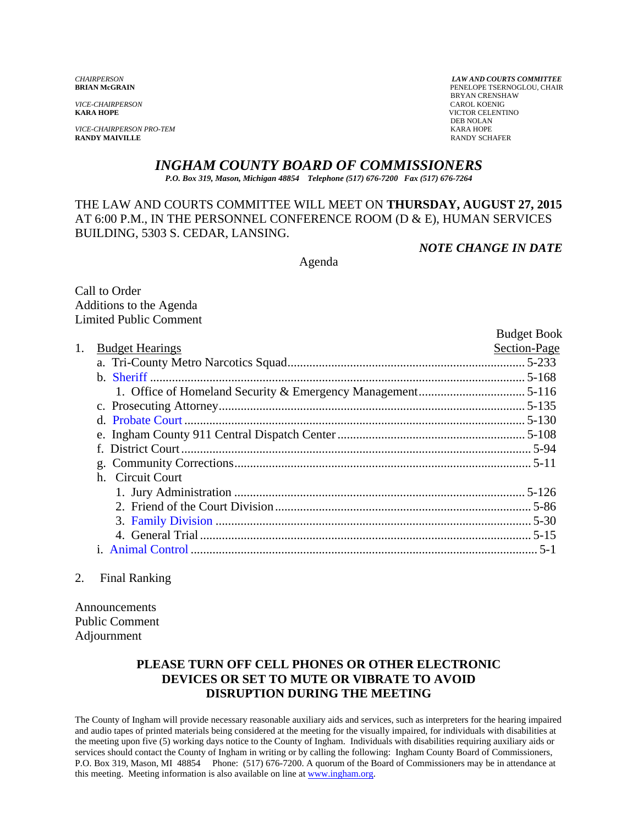*VICE-CHAIRPERSON*<br>**KARA HOPE** 

*VICE-CHAIRPERSON PRO-TEM* KARA HOPE **RANDY MAIVILLE** 

*CHAIRPERSON LAW AND COURTS COMMITTEE* PENELOPE TSERNOGLOU, CHAIR **BRYAN CRENSHAW CAROL KOENIG KICTOR CELENTINO**<br>DEB NOLAN DEB NOLAN

# *INGHAM COUNTY BOARD OF COMMISSIONERS*

*P.O. Box 319, Mason, Michigan 48854 Telephone (517) 676-7200 Fax (517) 676-7264*

# THE LAW AND COURTS COMMITTEE WILL MEET ON **THURSDAY, AUGUST 27, 2015**  AT 6:00 P.M., IN THE PERSONNEL CONFERENCE ROOM (D & E), HUMAN SERVICES BUILDING, 5303 S. CEDAR, LANSING.

*NOTE CHANGE IN DATE* 

Agenda

Call to Order Additions to the Agenda Limited Public Comment

|    |                        | <b>Budget Book</b> |
|----|------------------------|--------------------|
| 1. | <b>Budget Hearings</b> | Section-Page       |
|    |                        |                    |
|    |                        |                    |
|    |                        |                    |
|    |                        |                    |
|    |                        |                    |
|    |                        |                    |
|    |                        |                    |
|    |                        |                    |
|    | h. Circuit Court       |                    |
|    |                        |                    |
|    |                        |                    |
|    |                        |                    |
|    |                        |                    |
|    |                        |                    |
|    |                        |                    |

# 2. Final Ranking

Announcements Public Comment Adjournment

# **PLEASE TURN OFF CELL PHONES OR OTHER ELECTRONIC DEVICES OR SET TO MUTE OR VIBRATE TO AVOID DISRUPTION DURING THE MEETING**

The County of Ingham will provide necessary reasonable auxiliary aids and services, such as interpreters for the hearing impaired and audio tapes of printed materials being considered at the meeting for the visually impaired, for individuals with disabilities at the meeting upon five (5) working days notice to the County of Ingham. Individuals with disabilities requiring auxiliary aids or services should contact the County of Ingham in writing or by calling the following: Ingham County Board of Commissioners, P.O. Box 319, Mason, MI 48854 Phone: (517) 676-7200. A quorum of the Board of Commissioners may be in attendance at this meeting. Meeting information is also available on line at www.ingham.org.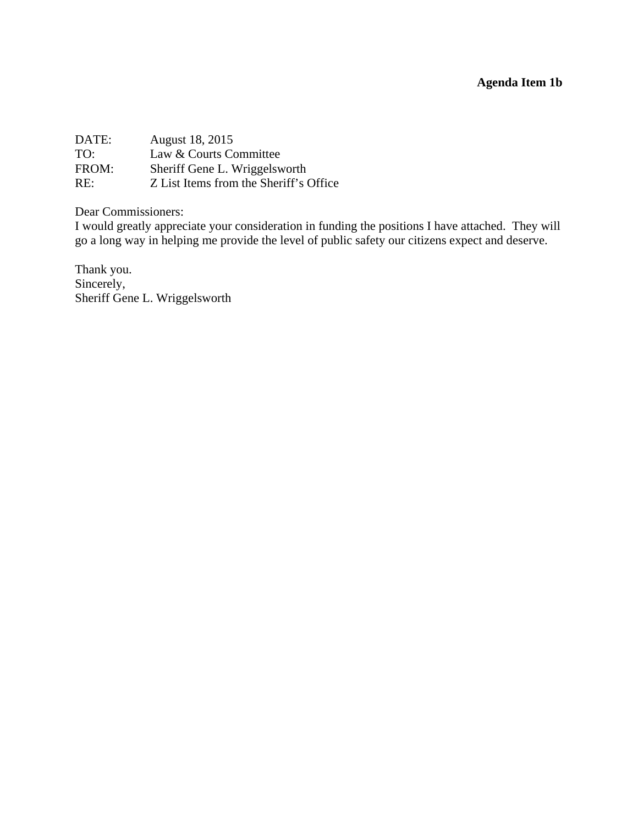# **Agenda Item 1b**

<span id="page-1-0"></span>

| August 18, 2015                        |
|----------------------------------------|
| Law & Courts Committee                 |
| Sheriff Gene L. Wriggelsworth          |
| Z List Items from the Sheriff's Office |
|                                        |

Dear Commissioners:

I would greatly appreciate your consideration in funding the positions I have attached. They will go a long way in helping me provide the level of public safety our citizens expect and deserve.

Thank you. Sincerely, Sheriff Gene L. Wriggelsworth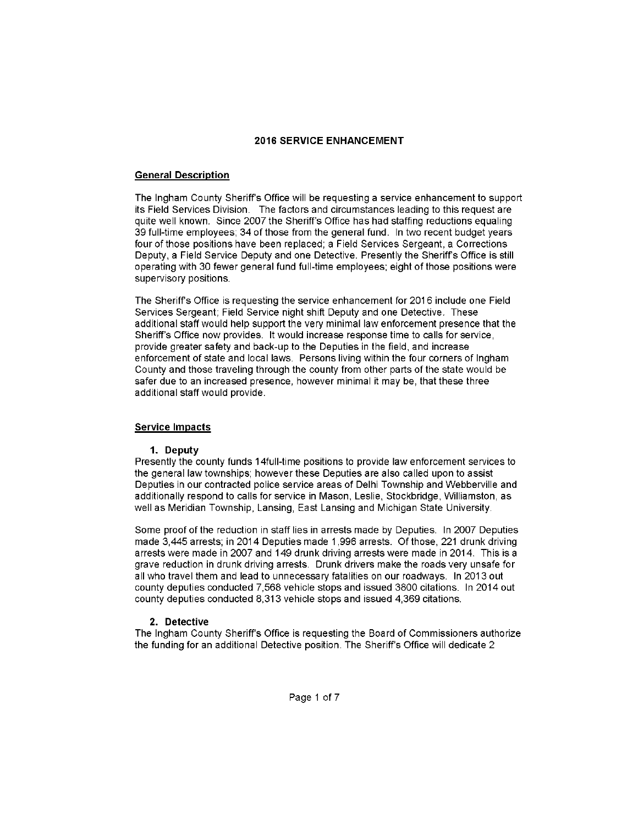#### **2016 SERVICE ENHANCEMENT**

#### **General Description**

The Ingham County Sheriff's Office will be requesting a service enhancement to support its Field Services Division. The factors and circumstances leading to this request are quite well known. Since 2007 the Sheriff's Office has had staffing reductions equaling 39 full-time employees; 34 of those from the general fund. In two recent budget years four of those positions have been replaced; a Field Services Sergeant, a Corrections Deputy, a Field Service Deputy and one Detective. Presently the Sheriff's Office is still operating with 30 fewer general fund full-time employees; eight of those positions were supervisory positions.

The Sheriff's Office is requesting the service enhancement for 2016 include one Field Services Sergeant; Field Service night shift Deputy and one Detective. These additional staff would help support the very minimal law enforcement presence that the Sheriff's Office now provides. It would increase response time to calls for service, provide greater safety and back-up to the Deputies in the field, and increase enforcement of state and local laws. Persons living within the four corners of Ingham County and those traveling through the county from other parts of the state would be safer due to an increased presence, however minimal it may be, that these three additional staff would provide.

#### **Service Impacts**

#### 1. Deputy

Presently the county funds 14full-time positions to provide law enforcement services to the general law townships; however these Deputies are also called upon to assist Deputies in our contracted police service areas of Delhi Township and Webberville and additionally respond to calls for service in Mason, Leslie, Stockbridge, Williamston, as well as Meridian Township, Lansing, East Lansing and Michigan State University.

Some proof of the reduction in staff lies in arrests made by Deputies. In 2007 Deputies made 3.445 arrests: in 2014 Deputies made 1.996 arrests. Of those, 221 drunk driving arrests were made in 2007 and 149 drunk driving arrests were made in 2014. This is a grave reduction in drunk driving arrests. Drunk drivers make the roads very unsafe for all who travel them and lead to unnecessary fatalities on our roadways. In 2013 out county deputies conducted 7,568 vehicle stops and issued 3800 citations. In 2014 out county deputies conducted 8,313 vehicle stops and issued 4,369 citations.

#### 2. Detective

The Ingham County Sheriff's Office is requesting the Board of Commissioners authorize the funding for an additional Detective position. The Sheriff's Office will dedicate 2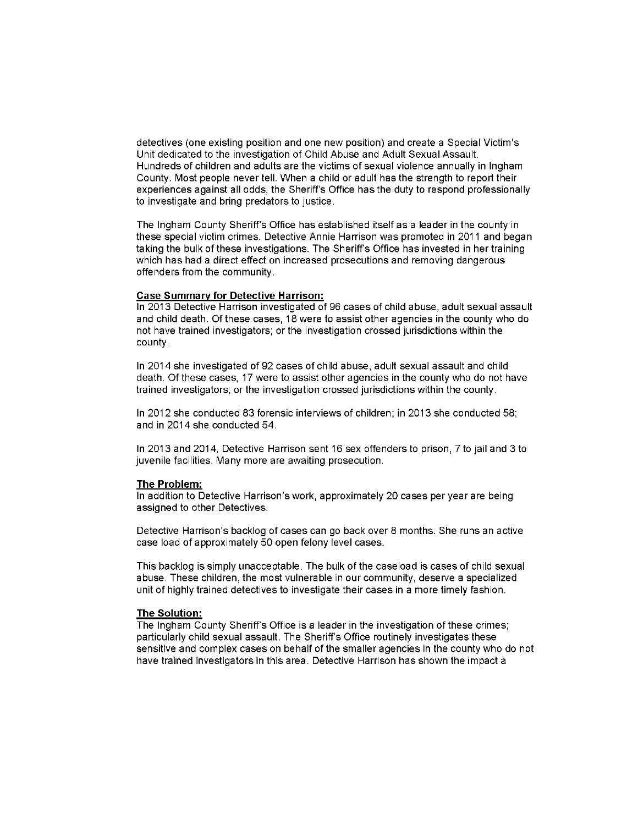detectives (one existing position and one new position) and create a Special Victim's Unit dedicated to the investigation of Child Abuse and Adult Sexual Assault. Hundreds of children and adults are the victims of sexual violence annually in Ingham County. Most people never tell. When a child or adult has the strength to report their experiences against all odds, the Sheriff's Office has the duty to respond professionally to investigate and bring predators to justice.

The Ingham County Sheriff's Office has established itself as a leader in the county in these special victim crimes. Detective Annie Harrison was promoted in 2011 and began taking the bulk of these investigations. The Sheriff's Office has invested in her training which has had a direct effect on increased prosecutions and removing dangerous offenders from the community.

#### **Case Summary for Detective Harrison:**

In 2013 Detective Harrison investigated of 96 cases of child abuse, adult sexual assault and child death. Of these cases, 18 were to assist other agencies in the county who do not have trained investigators; or the investigation crossed jurisdictions within the county.

In 2014 she investigated of 92 cases of child abuse, adult sexual assault and child death. Of these cases, 17 were to assist other agencies in the county who do not have trained investigators; or the investigation crossed jurisdictions within the county.

In 2012 she conducted 83 forensic interviews of children; in 2013 she conducted 58; and in 2014 she conducted 54.

In 2013 and 2014. Detective Harrison sent 16 sex offenders to prison, 7 to jail and 3 to juvenile facilities. Many more are awaiting prosecution.

#### The Problem:

In addition to Detective Harrison's work, approximately 20 cases per year are being assigned to other Detectives.

Detective Harrison's backlog of cases can go back over 8 months. She runs an active case load of approximately 50 open felony level cases.

This backlog is simply unacceptable. The bulk of the caseload is cases of child sexual abuse. These children, the most vulnerable in our community, deserve a specialized unit of highly trained detectives to investigate their cases in a more timely fashion.

#### The Solution:

The Ingham County Sheriff's Office is a leader in the investigation of these crimes; particularly child sexual assault. The Sheriff's Office routinely investigates these sensitive and complex cases on behalf of the smaller agencies in the county who do not have trained investigators in this area. Detective Harrison has shown the impact a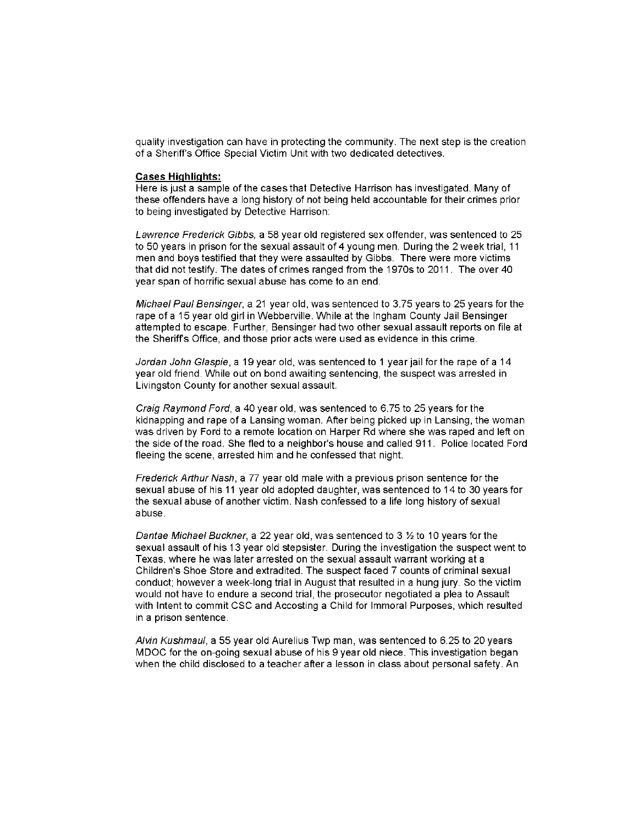quality investigation can have in protecting the community. The next step is the creation of a Sheriff's Office Special Victim Unit with two dedicated detectives.

#### **Cases Highlights:**

Here is just a sample of the cases that Detective Harrison has investigated. Many of these offenders have a long history of not being held accountable for their crimes prior to being investigated by Detective Harrison:

Lawrence Frederick Gibbs, a 58 year old registered sex offender, was sentenced to 25 to 50 years in prison for the sexual assault of 4 young men. During the 2 week trial, 11 men and boys testified that they were assaulted by Gibbs. There were more victims that did not testify. The dates of crimes ranged from the 1970s to 2011. The over 40 year span of horrific sexual abuse has come to an end.

Michael Paul Bensinger, a 21 year old, was sentenced to 3.75 years to 25 years for the rape of a 15 year old girl in Webberville. While at the Ingham County Jail Bensinger attempted to escape. Further, Bensinger had two other sexual assault reports on file at the Sheriff's Office, and those prior acts were used as evidence in this crime.

Jordan John Glaspie, a 19 year old, was sentenced to 1 year jail for the rape of a 14 year old friend. While out on bond awaiting sentencing, the suspect was arrested in Livingston County for another sexual assault.

Craig Raymond Ford, a 40 year old, was sentenced to 6.75 to 25 years for the kidnapping and rape of a Lansing woman. After being picked up in Lansing, the woman was driven by Ford to a remote location on Harper Rd where she was raped and left on the side of the road. She fled to a neighbor's house and called 911. Police located Ford fleeing the scene, arrested him and he confessed that night.

Frederick Arthur Nash, a 77 year old male with a previous prison sentence for the sexual abuse of his 11 year old adopted daughter, was sentenced to 14 to 30 years for the sexual abuse of another victim. Nash confessed to a life long history of sexual abuse.

Dantae Michael Buckner, a 22 year old, was sentenced to 3 1/2 to 10 years for the sexual assault of his 13 year old stepsister. During the investigation the suspect went to Texas, where he was later arrested on the sexual assault warrant working at a Children's Shoe Store and extradited. The suspect faced 7 counts of criminal sexual conduct; however a week-long trial in August that resulted in a hung jury. So the victim would not have to endure a second trial, the prosecutor negotiated a plea to Assault with Intent to commit CSC and Accosting a Child for Immoral Purposes, which resulted in a prison sentence.

Alvin Kushmaul, a 55 year old Aurelius Twp man, was sentenced to 6.25 to 20 years MDOC for the on-going sexual abuse of his 9 year old niece. This investigation began when the child disclosed to a teacher after a lesson in class about personal safety. An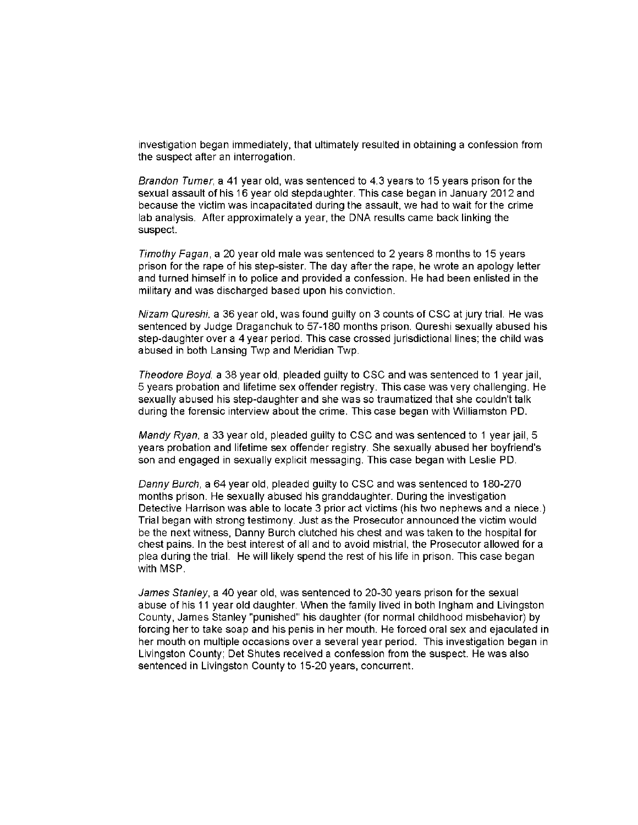investigation began immediately, that ultimately resulted in obtaining a confession from the suspect after an interrogation.

Brandon Turner, a 41 year old, was sentenced to 4.3 years to 15 years prison for the sexual assault of his 16 year old stepdaughter. This case began in January 2012 and because the victim was incapacitated during the assault, we had to wait for the crime lab analysis. After approximately a year, the DNA results came back linking the suspect.

Timothy Fagan, a 20 year old male was sentenced to 2 years 8 months to 15 years prison for the rape of his step-sister. The day after the rape, he wrote an apology letter and turned himself in to police and provided a confession. He had been enlisted in the military and was discharged based upon his conviction.

Nizam Qureshi, a 36 year old, was found quilty on 3 counts of CSC at jury trial. He was sentenced by Judge Draganchuk to 57-180 months prison. Qureshi sexually abused his step-daughter over a 4 year period. This case crossed jurisdictional lines; the child was abused in both Lansing Twp and Meridian Twp.

Theodore Boyd, a 38 year old, pleaded quilty to CSC and was sentenced to 1 year jail. 5 years probation and lifetime sex offender registry. This case was very challenging. He sexually abused his step-daughter and she was so traumatized that she couldn't talk during the forensic interview about the crime. This case began with Williamston PD.

Mandy Ryan, a 33 year old, pleaded quilty to CSC and was sentenced to 1 year jail, 5 years probation and lifetime sex offender registry. She sexually abused her boyfriend's son and engaged in sexually explicit messaging. This case began with Leslie PD.

Danny Burch, a 64 year old, pleaded quilty to CSC and was sentenced to 180-270 months prison. He sexually abused his granddaughter. During the investigation Detective Harrison was able to locate 3 prior act victims (his two nephews and a niece.) Trial began with strong testimony. Just as the Prosecutor announced the victim would be the next witness. Danny Burch clutched his chest and was taken to the hospital for chest pains. In the best interest of all and to avoid mistrial, the Prosecutor allowed for a plea during the trial. He will likely spend the rest of his life in prison. This case began with MSP

James Stanley, a 40 year old, was sentenced to 20-30 years prison for the sexual abuse of his 11 year old daughter. When the family lived in both Ingham and Livingston County, James Stanley "punished" his daughter (for normal childhood misbehavior) by forcing her to take soap and his penis in her mouth. He forced oral sex and ejaculated in her mouth on multiple occasions over a several year period. This investigation began in Livingston County; Det Shutes received a confession from the suspect. He was also sentenced in Livingston County to 15-20 years, concurrent.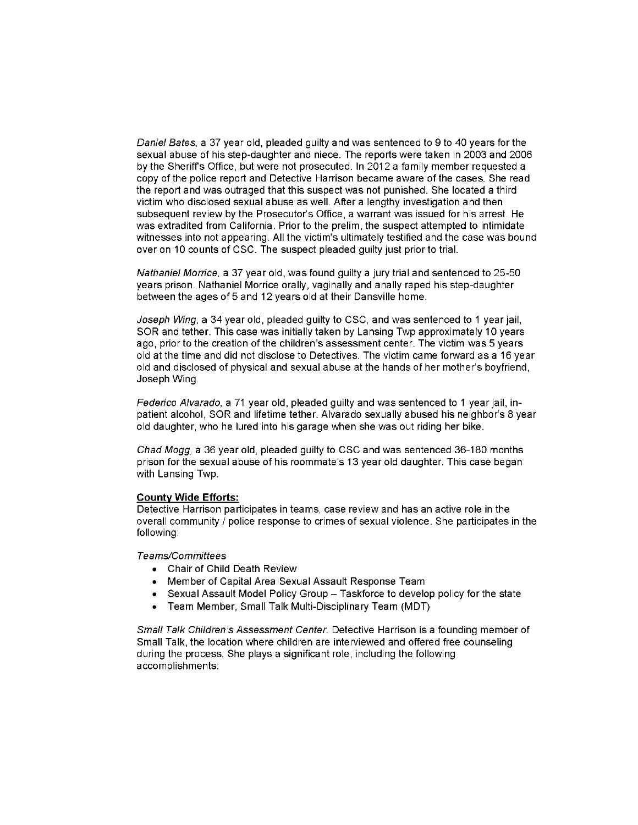Daniel Bates, a 37 year old, pleaded guilty and was sentenced to 9 to 40 years for the sexual abuse of his step-daughter and niece. The reports were taken in 2003 and 2006 by the Sheriff's Office, but were not prosecuted. In 2012 a family member requested a copy of the police report and Detective Harrison became aware of the cases. She read the report and was outraged that this suspect was not punished. She located a third victim who disclosed sexual abuse as well. After a lengthy investigation and then subsequent review by the Prosecutor's Office, a warrant was issued for his arrest. He was extradited from California. Prior to the prelim, the suspect attempted to intimidate witnesses into not appearing. All the victim's ultimately testified and the case was bound over on 10 counts of CSC. The suspect pleaded guilty just prior to trial.

Nathaniel Morrice, a 37 year old, was found guilty a jury trial and sentenced to 25-50 years prison. Nathaniel Morrice orally, vaginally and anally raped his step-daughter between the ages of 5 and 12 years old at their Dansville home.

Joseph Wing, a 34 year old, pleaded guilty to CSC, and was sentenced to 1 year jail, SOR and tether. This case was initially taken by Lansing Twp approximately 10 years ago, prior to the creation of the children's assessment center. The victim was 5 years old at the time and did not disclose to Detectives. The victim came forward as a 16 year old and disclosed of physical and sexual abuse at the hands of her mother's boyfriend, Joseph Wing.

Federico Alvarado, a 71 year old, pleaded guilty and was sentenced to 1 year jail, inpatient alcohol, SOR and lifetime tether. Alvarado sexually abused his neighbor's 8 year old daughter, who he lured into his garage when she was out riding her bike.

Chad Mogg, a 36 year old, pleaded guilty to CSC and was sentenced 36-180 months prison for the sexual abuse of his roommate's 13 year old daughter. This case began with Lansing Twp.

#### **County Wide Efforts:**

Detective Harrison participates in teams, case review and has an active role in the overall community / police response to crimes of sexual violence. She participates in the following:

Teams/Committees

- Chair of Child Death Review
- Member of Capital Area Sexual Assault Response Team
- Sexual Assault Model Policy Group Taskforce to develop policy for the state
- Team Member, Small Talk Multi-Disciplinary Team (MDT)

Small Talk Children's Assessment Center. Detective Harrison is a founding member of Small Talk, the location where children are interviewed and offered free counseling during the process. She plays a significant role, including the following accomplishments: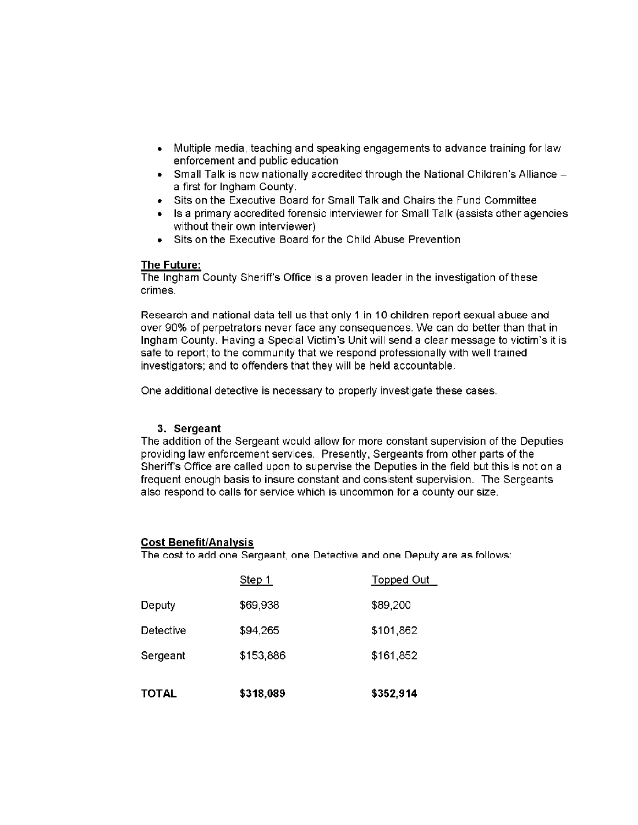- Multiple media, teaching and speaking engagements to advance training for law enforcement and public education
- $\bullet$  Small Talk is now nationally accredited through the National Children's Alliance  $$ a first for Ingham County.
- Sits on the Executive Board for Small Talk and Chairs the Fund Committee
- Is a primary accredited forensic interviewer for Small Talk (assists other agencies without their own interviewer)
- Sits on the Executive Board for the Child Abuse Prevention

#### **The Future:**

The Ingham County Sheriff's Office is a proven leader in the investigation of these crimes.

Research and national data tell us that only 1 in 10 children report sexual abuse and over 90% of perpetrators never face any consequences. We can do better than that in Ingham County, Having a Special Victim's Unit will send a clear message to victim's it is safe to report; to the community that we respond professionally with well trained investigators; and to offenders that they will be held accountable.

One additional detective is necessary to properly investigate these cases.

#### 3. Sergeant

The addition of the Sergeant would allow for more constant supervision of the Deputies providing law enforcement services. Presently, Sergeants from other parts of the Sheriff's Office are called upon to supervise the Deputies in the field but this is not on a frequent enough basis to insure constant and consistent supervision. The Sergeants also respond to calls for service which is uncommon for a county our size.

#### **Cost Benefit/Analysis**

The cost to add one Sergeant, one Detective and one Deputy are as follows:

| <b>TOTAL</b> | \$318,089 | \$352,914         |
|--------------|-----------|-------------------|
| Sergeant     | \$153,886 | \$161,852         |
| Detective    | \$94,265  | \$101,862         |
| Deputy       | \$69,938  | \$89,200          |
|              | Step $1$  | <b>Topped Out</b> |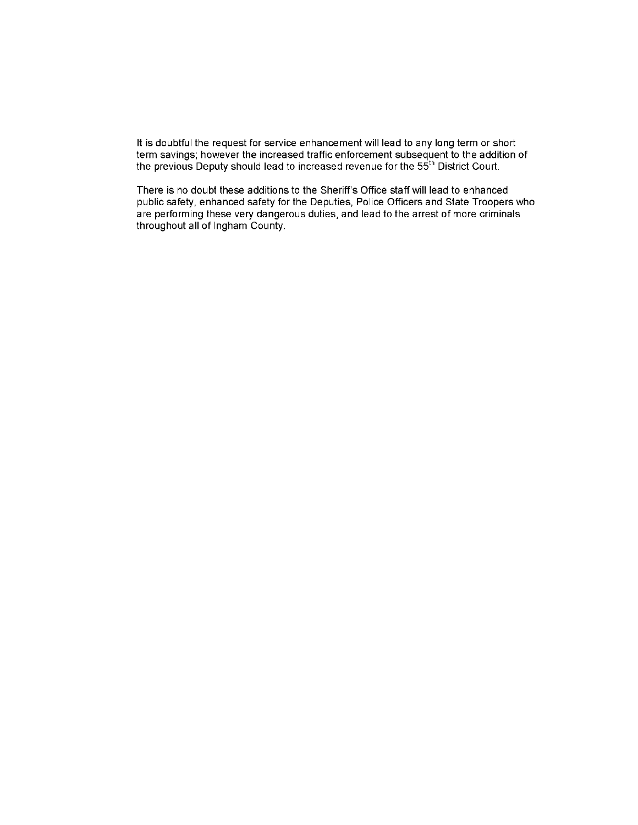It is doubtful the request for service enhancement will lead to any long term or short term savings; however the increased traffic enforcement subsequent to the addition of<br>the previous Deputy should lead to increased revenue for the 55<sup>th</sup> District Court.

There is no doubt these additions to the Sheriff's Office staff will lead to enhanced public safety, enhanced safety for the Deputies, Police Officers and State Troopers who are performing these very dangerous duties, and lead to the arrest of more criminals throughout all of Ingham County.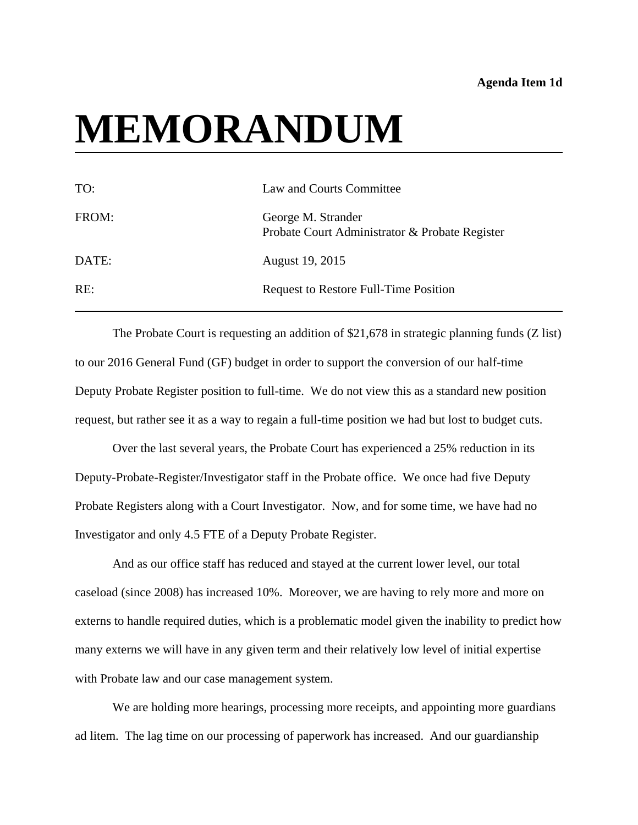# <span id="page-9-0"></span>**MEMORANDUM**

| TO:   | Law and Courts Committee                                             |
|-------|----------------------------------------------------------------------|
| FROM: | George M. Strander<br>Probate Court Administrator & Probate Register |
| DATE: | August 19, 2015                                                      |
| RE:   | Request to Restore Full-Time Position                                |

The Probate Court is requesting an addition of \$21,678 in strategic planning funds (Z list) to our 2016 General Fund (GF) budget in order to support the conversion of our half-time Deputy Probate Register position to full-time. We do not view this as a standard new position request, but rather see it as a way to regain a full-time position we had but lost to budget cuts.

Over the last several years, the Probate Court has experienced a 25% reduction in its Deputy-Probate-Register/Investigator staff in the Probate office. We once had five Deputy Probate Registers along with a Court Investigator. Now, and for some time, we have had no Investigator and only 4.5 FTE of a Deputy Probate Register.

And as our office staff has reduced and stayed at the current lower level, our total caseload (since 2008) has increased 10%. Moreover, we are having to rely more and more on externs to handle required duties, which is a problematic model given the inability to predict how many externs we will have in any given term and their relatively low level of initial expertise with Probate law and our case management system.

We are holding more hearings, processing more receipts, and appointing more guardians ad litem. The lag time on our processing of paperwork has increased. And our guardianship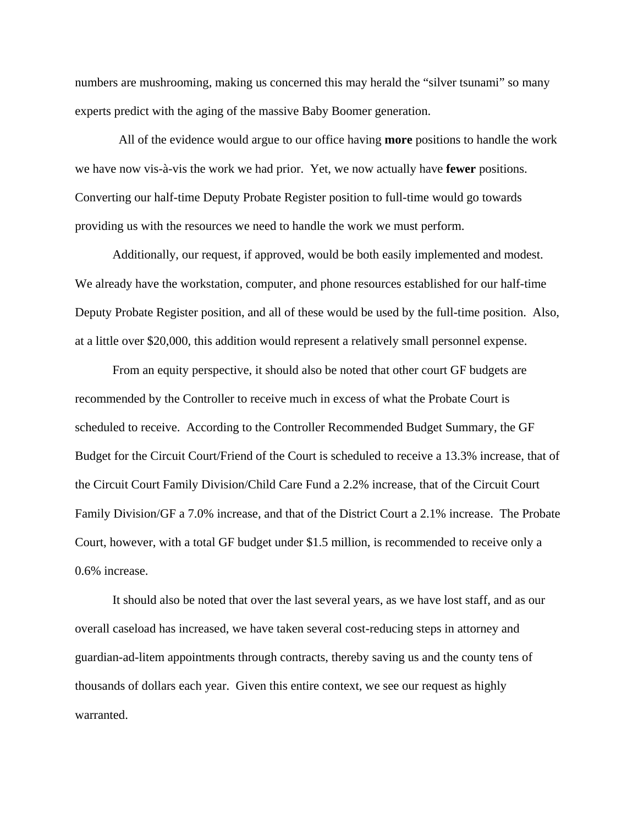numbers are mushrooming, making us concerned this may herald the "silver tsunami" so many experts predict with the aging of the massive Baby Boomer generation.

 All of the evidence would argue to our office having **more** positions to handle the work we have now vis-à-vis the work we had prior. Yet, we now actually have **fewer** positions. Converting our half-time Deputy Probate Register position to full-time would go towards providing us with the resources we need to handle the work we must perform.

Additionally, our request, if approved, would be both easily implemented and modest. We already have the workstation, computer, and phone resources established for our half-time Deputy Probate Register position, and all of these would be used by the full-time position. Also, at a little over \$20,000, this addition would represent a relatively small personnel expense.

 From an equity perspective, it should also be noted that other court GF budgets are recommended by the Controller to receive much in excess of what the Probate Court is scheduled to receive. According to the Controller Recommended Budget Summary, the GF Budget for the Circuit Court/Friend of the Court is scheduled to receive a 13.3% increase, that of the Circuit Court Family Division/Child Care Fund a 2.2% increase, that of the Circuit Court Family Division/GF a 7.0% increase, and that of the District Court a 2.1% increase. The Probate Court, however, with a total GF budget under \$1.5 million, is recommended to receive only a 0.6% increase.

 It should also be noted that over the last several years, as we have lost staff, and as our overall caseload has increased, we have taken several cost-reducing steps in attorney and guardian-ad-litem appointments through contracts, thereby saving us and the county tens of thousands of dollars each year. Given this entire context, we see our request as highly warranted.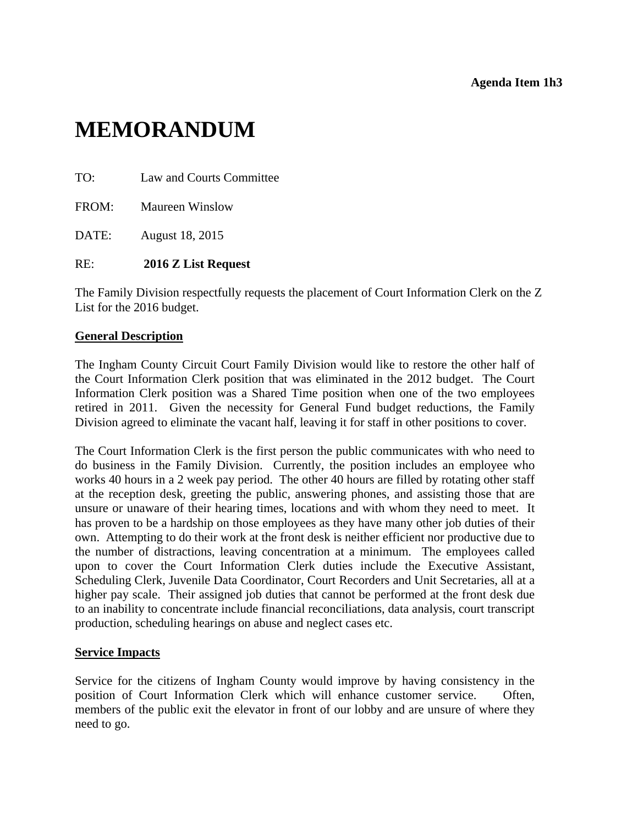# <span id="page-11-0"></span>**MEMORANDUM**

| TO: |  |  | Law and Courts Committee |
|-----|--|--|--------------------------|
|-----|--|--|--------------------------|

FROM: Maureen Winslow

DATE: August 18, 2015

# RE: **2016 Z List Request**

The Family Division respectfully requests the placement of Court Information Clerk on the Z List for the 2016 budget.

# **General Description**

The Ingham County Circuit Court Family Division would like to restore the other half of the Court Information Clerk position that was eliminated in the 2012 budget. The Court Information Clerk position was a Shared Time position when one of the two employees retired in 2011. Given the necessity for General Fund budget reductions, the Family Division agreed to eliminate the vacant half, leaving it for staff in other positions to cover.

The Court Information Clerk is the first person the public communicates with who need to do business in the Family Division. Currently, the position includes an employee who works 40 hours in a 2 week pay period. The other 40 hours are filled by rotating other staff at the reception desk, greeting the public, answering phones, and assisting those that are unsure or unaware of their hearing times, locations and with whom they need to meet. It has proven to be a hardship on those employees as they have many other job duties of their own. Attempting to do their work at the front desk is neither efficient nor productive due to the number of distractions, leaving concentration at a minimum. The employees called upon to cover the Court Information Clerk duties include the Executive Assistant, Scheduling Clerk, Juvenile Data Coordinator, Court Recorders and Unit Secretaries, all at a higher pay scale. Their assigned job duties that cannot be performed at the front desk due to an inability to concentrate include financial reconciliations, data analysis, court transcript production, scheduling hearings on abuse and neglect cases etc.

# **Service Impacts**

Service for the citizens of Ingham County would improve by having consistency in the position of Court Information Clerk which will enhance customer service. Often, members of the public exit the elevator in front of our lobby and are unsure of where they need to go.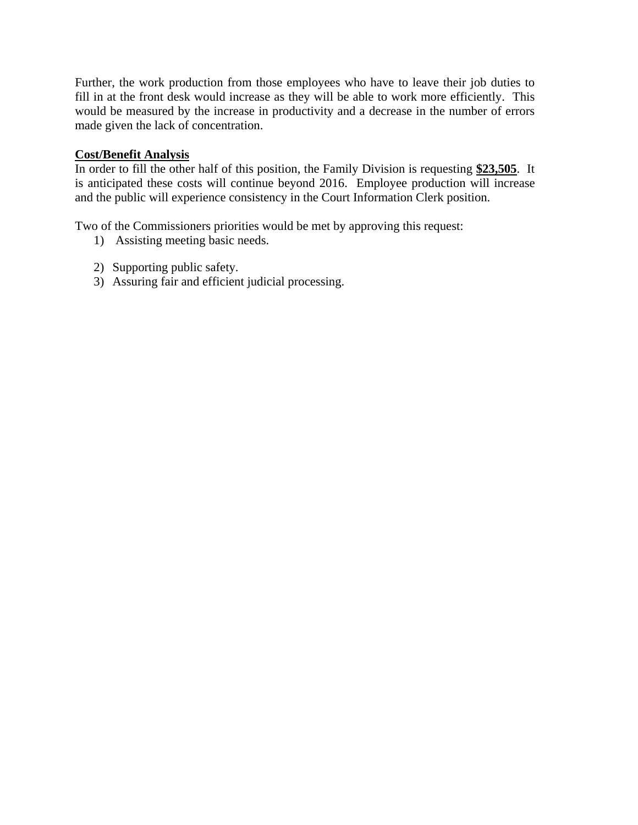Further, the work production from those employees who have to leave their job duties to fill in at the front desk would increase as they will be able to work more efficiently. This would be measured by the increase in productivity and a decrease in the number of errors made given the lack of concentration.

# **Cost/Benefit Analysis**

In order to fill the other half of this position, the Family Division is requesting **\$23,505**. It is anticipated these costs will continue beyond 2016. Employee production will increase and the public will experience consistency in the Court Information Clerk position.

Two of the Commissioners priorities would be met by approving this request:

- 1) Assisting meeting basic needs.
- 2) Supporting public safety.
- 3) Assuring fair and efficient judicial processing.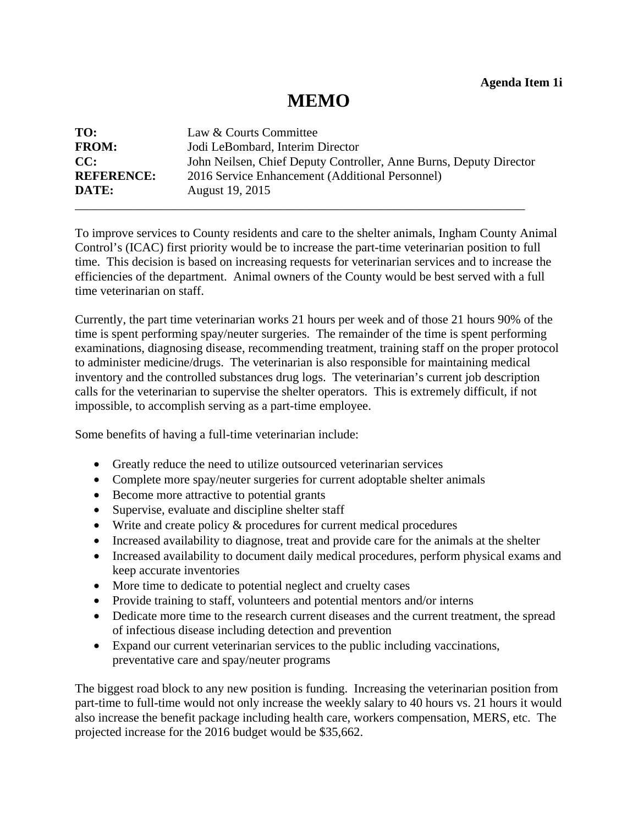# **MEMO**

<span id="page-13-0"></span>

| TO:               | Law & Courts Committee                                             |
|-------------------|--------------------------------------------------------------------|
| <b>FROM:</b>      | Jodi LeBombard, Interim Director                                   |
| CC:               | John Neilsen, Chief Deputy Controller, Anne Burns, Deputy Director |
| <b>REFERENCE:</b> | 2016 Service Enhancement (Additional Personnel)                    |
| DATE:             | August 19, 2015                                                    |

To improve services to County residents and care to the shelter animals, Ingham County Animal Control's (ICAC) first priority would be to increase the part-time veterinarian position to full time. This decision is based on increasing requests for veterinarian services and to increase the efficiencies of the department. Animal owners of the County would be best served with a full time veterinarian on staff.

Currently, the part time veterinarian works 21 hours per week and of those 21 hours 90% of the time is spent performing spay/neuter surgeries. The remainder of the time is spent performing examinations, diagnosing disease, recommending treatment, training staff on the proper protocol to administer medicine/drugs. The veterinarian is also responsible for maintaining medical inventory and the controlled substances drug logs. The veterinarian's current job description calls for the veterinarian to supervise the shelter operators. This is extremely difficult, if not impossible, to accomplish serving as a part-time employee.

Some benefits of having a full-time veterinarian include:

- Greatly reduce the need to utilize outsourced veterinarian services
- Complete more spay/neuter surgeries for current adoptable shelter animals
- Become more attractive to potential grants
- Supervise, evaluate and discipline shelter staff
- Write and create policy & procedures for current medical procedures
- Increased availability to diagnose, treat and provide care for the animals at the shelter
- Increased availability to document daily medical procedures, perform physical exams and keep accurate inventories
- More time to dedicate to potential neglect and cruelty cases
- Provide training to staff, volunteers and potential mentors and/or interns
- Dedicate more time to the research current diseases and the current treatment, the spread of infectious disease including detection and prevention
- Expand our current veterinarian services to the public including vaccinations, preventative care and spay/neuter programs

The biggest road block to any new position is funding. Increasing the veterinarian position from part-time to full-time would not only increase the weekly salary to 40 hours vs. 21 hours it would also increase the benefit package including health care, workers compensation, MERS, etc. The projected increase for the 2016 budget would be \$35,662.